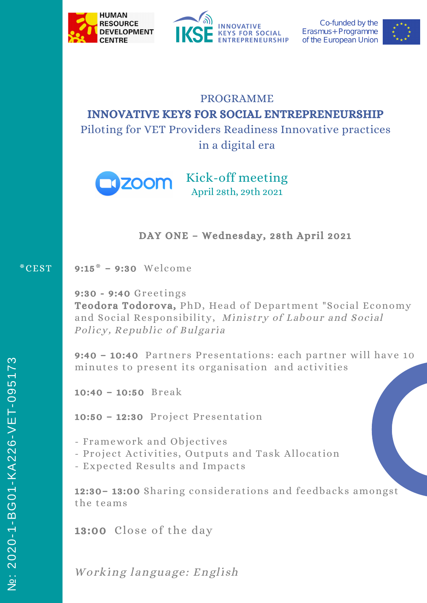



Co-funded by the Erasmus+Programme of the European Union



# PROGRAMME INNOVATIVE KEYS FOR SOCIAL ENTREPRENEURSHIP Piloting for VET Providers Readiness Innovative practices

in a digital era



Kick-off meeting April 28th, 29th 2021

DAY ONE – Wednesday, 28th April 2021

### 9:15\* – 9:30 Welcome \*CEST

9:30 - 9:40 Greetings Teodora Todorova, PhD, Head of Department "Social Economy and Social Responsibility, Ministry of Labour and Social Policy, Republic of Bulgaria

9:40 – 10:40 Partners Presentations: each partner will have 10 minutes to present its organisation and activities

10:40 – 10:50 Break

10:50 – 12:30 Project Presentation

- Framework and Objectives

- Project Activities, Outputs and Task Allocation
- Expected Results and Impacts

12:30– 13:00 Sharing considerations and feedbacks amongst the teams

13:00 Close of the day

Working language: English